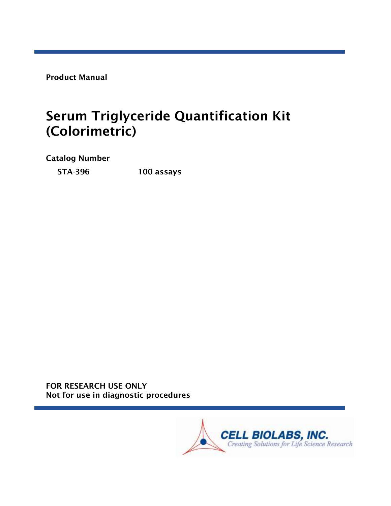Product Manual

# Serum Triglyceride Quantification Kit (Colorimetric)

Catalog Number

STA-396 100 assays

FOR RESEARCH USE ONLY Not for use in diagnostic procedures

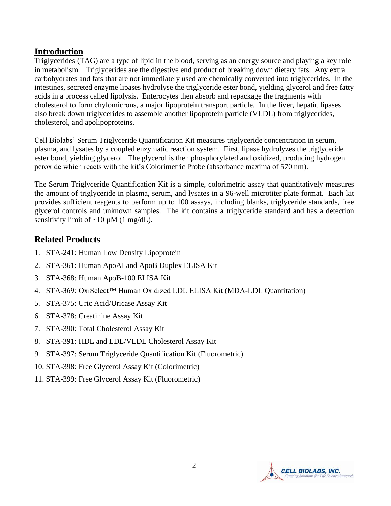#### **Introduction**

Triglycerides (TAG) are a type of lipid in the blood, serving as an energy source and playing a key role in metabolism. Triglycerides are the digestive end product of breaking down dietary fats. Any extra carbohydrates and fats that are not immediately used are chemically converted into triglycerides. In the intestines, secreted enzyme lipases hydrolyse the triglyceride ester bond, yielding glycerol and free fatty acids in a process called lipolysis. Enterocytes then absorb and repackage the fragments with cholesterol to form chylomicrons, a major lipoprotein transport particle. In the liver, hepatic lipases also break down triglycerides to assemble another lipoprotein particle (VLDL) from triglycerides, cholesterol, and apolipoproteins.

Cell Biolabs' Serum Triglyceride Quantification Kit measures triglyceride concentration in serum, plasma, and lysates by a coupled enzymatic reaction system. First, lipase hydrolyzes the triglyceride ester bond, yielding glycerol. The glycerol is then phosphorylated and oxidized, producing hydrogen peroxide which reacts with the kit's Colorimetric Probe (absorbance maxima of 570 nm).

The Serum Triglyceride Quantification Kit is a simple, colorimetric assay that quantitatively measures the amount of triglyceride in plasma, serum, and lysates in a 96-well microtiter plate format. Each kit provides sufficient reagents to perform up to 100 assays, including blanks, triglyceride standards, free glycerol controls and unknown samples. The kit contains a triglyceride standard and has a detection sensitivity limit of  $\sim$ 10  $\mu$ M (1 mg/dL).

## **Related Products**

- 1. STA-241: Human Low Density Lipoprotein
- 2. STA-361: Human ApoAI and ApoB Duplex ELISA Kit
- 3. STA-368: Human ApoB-100 ELISA Kit
- 4. STA-369: OxiSelect™ Human Oxidized LDL ELISA Kit (MDA-LDL Quantitation)
- 5. STA-375: Uric Acid/Uricase Assay Kit
- 6. STA-378: Creatinine Assay Kit
- 7. STA-390: Total Cholesterol Assay Kit
- 8. STA-391: HDL and LDL/VLDL Cholesterol Assay Kit
- 9. STA-397: Serum Triglyceride Quantification Kit (Fluorometric)
- 10. STA-398: Free Glycerol Assay Kit (Colorimetric)
- 11. STA-399: Free Glycerol Assay Kit (Fluorometric)

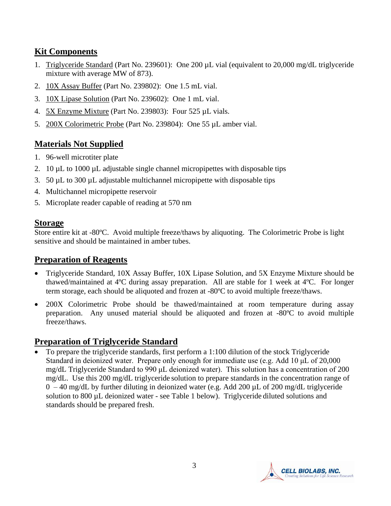## **Kit Components**

- 1. Triglyceride Standard (Part No. 239601): One 200 µL vial (equivalent to 20,000 mg/dL triglyceride mixture with average MW of 873).
- 2. 10X Assay Buffer (Part No. 239802): One 1.5 mL vial.
- 3. 10X Lipase Solution (Part No. 239602): One 1 mL vial.
- 4. 5X Enzyme Mixture (Part No. 239803): Four 525 µL vials.
- 5. 200X Colorimetric Probe (Part No. 239804): One 55 µL amber vial.

# **Materials Not Supplied**

- 1. 96-well microtiter plate
- 2. 10  $\mu$ L to 1000  $\mu$ L adjustable single channel micropipettes with disposable tips
- 3. 50 µL to 300 µL adjustable multichannel micropipette with disposable tips
- 4. Multichannel micropipette reservoir
- 5. Microplate reader capable of reading at 570 nm

## **Storage**

Store entire kit at -80ºC. Avoid multiple freeze/thaws by aliquoting. The Colorimetric Probe is light sensitive and should be maintained in amber tubes.

## **Preparation of Reagents**

- Triglyceride Standard, 10X Assay Buffer, 10X Lipase Solution, and 5X Enzyme Mixture should be thawed/maintained at 4ºC during assay preparation. All are stable for 1 week at 4ºC. For longer term storage, each should be aliquoted and frozen at -80ºC to avoid multiple freeze/thaws.
- 200X Colorimetric Probe should be thawed/maintained at room temperature during assay preparation. Any unused material should be aliquoted and frozen at -80ºC to avoid multiple freeze/thaws.

# **Preparation of Triglyceride Standard**

• To prepare the triglyceride standards, first perform a 1:100 dilution of the stock Triglyceride Standard in deionized water. Prepare only enough for immediate use (e.g. Add 10 μL of 20,000 mg/dL Triglyceride Standard to 990 μL deionized water). This solution has a concentration of 200 mg/dL. Use this 200 mg/dL triglyceride solution to prepare standards in the concentration range of  $0 - 40$  mg/dL by further diluting in deionized water (e.g. Add 200  $\mu$ L of 200 mg/dL triglyceride solution to 800 µL deionized water - see Table 1 below). Triglyceride diluted solutions and standards should be prepared fresh.

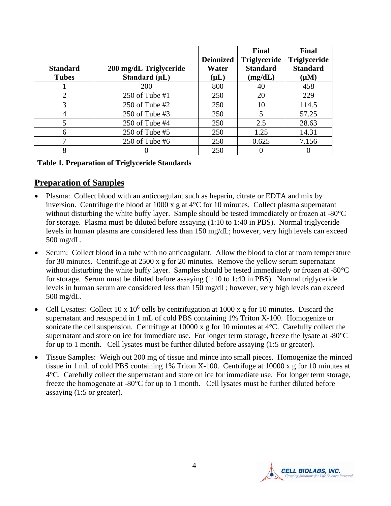|                       |                        |                  | Final               | <b>Final</b>        |
|-----------------------|------------------------|------------------|---------------------|---------------------|
|                       |                        | <b>Deionized</b> | <b>Triglyceride</b> | <b>Triglyceride</b> |
| <b>Standard</b>       | 200 mg/dL Triglyceride | Water            | <b>Standard</b>     | <b>Standard</b>     |
| <b>Tubes</b>          | Standard $(\mu L)$     | $(\mu L)$        | (mg/dL)             | $(\mu M)$           |
|                       | 200                    | 800              | 40                  | 458                 |
| $\mathcal{D}_{\cdot}$ | 250 of Tube #1         | 250              | 20                  | 229                 |
| 3                     | 250 of Tube $#2$       | 250              | 10                  | 114.5               |
|                       | 250 of Tube $#3$       | 250              | 5                   | 57.25               |
|                       | $250$ of Tube #4       | 250              | 2.5                 | 28.63               |
| 6                     | $250$ of Tube #5       | 250              | 1.25                | 14.31               |
| ┑                     | 250 of Tube #6         | 250              | 0.625               | 7.156               |
| 8                     |                        | 250              |                     |                     |

#### **Table 1. Preparation of Triglyceride Standards**

#### **Preparation of Samples**

- Plasma: Collect blood with an anticoagulant such as heparin, citrate or EDTA and mix by inversion. Centrifuge the blood at 1000 x g at 4°C for 10 minutes. Collect plasma supernatant without disturbing the white buffy layer. Sample should be tested immediately or frozen at -80°C for storage. Plasma must be diluted before assaying (1:10 to 1:40 in PBS). Normal triglyceride levels in human plasma are considered less than 150 mg/dL; however, very high levels can exceed 500 mg/dL.
- Serum: Collect blood in a tube with no anticoagulant. Allow the blood to clot at room temperature for 30 minutes. Centrifuge at 2500 x g for 20 minutes. Remove the yellow serum supernatant without disturbing the white buffy layer. Samples should be tested immediately or frozen at -80°C for storage. Serum must be diluted before assaying (1:10 to 1:40 in PBS). Normal triglyceride levels in human serum are considered less than 150 mg/dL; however, very high levels can exceed 500 mg/dL.
- Cell Lysates: Collect 10 x  $10^6$  cells by centrifugation at 1000 x g for 10 minutes. Discard the supernatant and resuspend in 1 mL of cold PBS containing 1% Triton X-100. Homogenize or sonicate the cell suspension. Centrifuge at 10000 x g for 10 minutes at 4°C. Carefully collect the supernatant and store on ice for immediate use. For longer term storage, freeze the lysate at -80°C for up to 1 month. Cell lysates must be further diluted before assaying (1:5 or greater).
- Tissue Samples: Weigh out 200 mg of tissue and mince into small pieces. Homogenize the minced tissue in 1 mL of cold PBS containing 1% Triton X-100. Centrifuge at 10000 x g for 10 minutes at 4°C. Carefully collect the supernatant and store on ice for immediate use. For longer term storage, freeze the homogenate at -80°C for up to 1 month. Cell lysates must be further diluted before assaying (1:5 or greater).

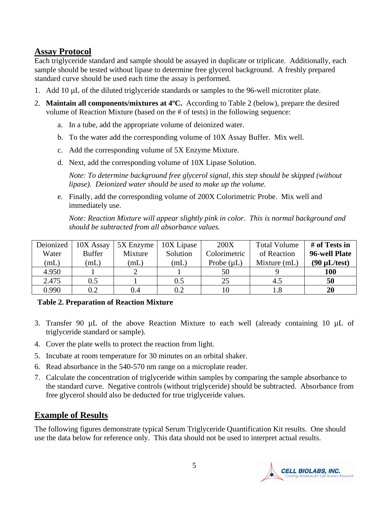## **Assay Protocol**

Each triglyceride standard and sample should be assayed in duplicate or triplicate. Additionally, each sample should be tested without lipase to determine free glycerol background. A freshly prepared standard curve should be used each time the assay is performed.

- 1. Add 10 µL of the diluted triglyceride standards or samples to the 96-well microtiter plate.
- 2. **Maintain all components/mixtures at 4ºC.** According to Table 2 (below), prepare the desired volume of Reaction Mixture (based on the # of tests) in the following sequence:
	- a. In a tube, add the appropriate volume of deionized water.
	- b. To the water add the corresponding volume of 10X Assay Buffer. Mix well.
	- c. Add the corresponding volume of 5X Enzyme Mixture.
	- d. Next, add the corresponding volume of 10X Lipase Solution.

*Note: To determine background free glycerol signal, this step should be skipped (without lipase). Deionized water should be used to make up the volume.* 

e. Finally, add the corresponding volume of 200X Colorimetric Probe. Mix well and immediately use.

*Note: Reaction Mixture will appear slightly pink in color. This is normal background and should be subtracted from all absorbance values.* 

| Deionized | 10X Assay     | 5X Enzyme | 10X Lipase | <b>200X</b>     | <b>Total Volume</b> | # of Tests in     |
|-----------|---------------|-----------|------------|-----------------|---------------------|-------------------|
| Water     | <b>Buffer</b> | Mixture   | Solution   | Colorimetric    | of Reaction         | 96-well Plate     |
| (mL)      | (mL)          | (mL)      | mL         | Probe $(\mu L)$ | Mixture (mL)        | $(90 \mu L/test)$ |
| 4.950     |               |           |            | 50              |                     | <b>100</b>        |
| 2.475     | $\rm 0.5$     |           | 0.5        | 25              | 4.5                 | 50                |
| 0.990     | $0.2\,$       | 0.4       | $0.2\,$    |                 | $1.8\,$             | 20                |

#### **Table 2. Preparation of Reaction Mixture**

- 3. Transfer 90 µL of the above Reaction Mixture to each well (already containing 10 µL of triglyceride standard or sample).
- 4. Cover the plate wells to protect the reaction from light.
- 5. Incubate at room temperature for 30 minutes on an orbital shaker.
- 6. Read absorbance in the 540-570 nm range on a microplate reader.
- 7. Calculate the concentration of triglyceride within samples by comparing the sample absorbance to the standard curve. Negative controls (without triglyceride) should be subtracted. Absorbance from free glycerol should also be deducted for true triglyceride values.

#### **Example of Results**

The following figures demonstrate typical Serum Triglyceride Quantification Kit results. One should use the data below for reference only. This data should not be used to interpret actual results.

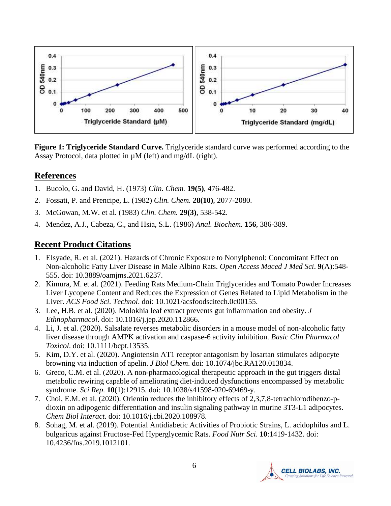

**Figure 1: Triglyceride Standard Curve.** Triglyceride standard curve was performed according to the Assay Protocol, data plotted in µM (left) and mg/dL (right).

## **References**

- 1. Bucolo, G. and David, H. (1973) *Clin. Chem.* **19(5)**, 476-482.
- 2. Fossati, P. and Prencipe, L. (1982) *Clin. Chem.* **28(10)**, 2077-2080.
- 3. McGowan, M.W. et al. (1983) *Clin. Chem.* **29(3)**, 538-542.
- 4. Mendez, A.J., Cabeza, C., and Hsia, S.L. (1986) *Anal. Biochem.* **156**, 386-389.

## **Recent Product Citations**

- 1. Elsyade, R. et al. (2021). Hazards of Chronic Exposure to Nonylphenol: Concomitant Effect on Non-alcoholic Fatty Liver Disease in Male Albino Rats. *Open Access Maced J Med Sci*. **9**(A):548- 555. doi: 10.3889/oamjms.2021.6237.
- 2. Kimura, M. et al. (2021). Feeding Rats Medium-Chain Triglycerides and Tomato Powder Increases Liver Lycopene Content and Reduces the Expression of Genes Related to Lipid Metabolism in the Liver. *ACS Food Sci. Technol*. doi: 10.1021/acsfoodscitech.0c00155.
- 3. Lee, H.B. et al. (2020). Molokhia leaf extract prevents gut inflammation and obesity. *J Ethnopharmacol*. doi: 10.1016/j.jep.2020.112866.
- 4. Li, J. et al. (2020). Salsalate reverses metabolic disorders in a mouse model of non-alcoholic fatty liver disease through AMPK activation and caspase-6 activity inhibition. *Basic Clin Pharmacol Toxicol*. doi: 10.1111/bcpt.13535.
- 5. Kim, D.Y. et al. (2020). Angiotensin AT1 receptor antagonism by losartan stimulates adipocyte browning via induction of apelin. *J Biol Chem*. doi: 10.1074/jbc.RA120.013834.
- 6. Greco, C.M. et al. (2020). A non-pharmacological therapeutic approach in the gut triggers distal metabolic rewiring capable of ameliorating diet-induced dysfunctions encompassed by metabolic syndrome. *Sci Rep*. **10**(1):12915. doi: 10.1038/s41598-020-69469-y.
- 7. Choi, E.M. et al. (2020). Orientin reduces the inhibitory effects of 2,3,7,8-tetrachlorodibenzo-pdioxin on adipogenic differentiation and insulin signaling pathway in murine 3T3-L1 adipocytes. *Chem Biol Interact*. doi: 10.1016/j.cbi.2020.108978.
- 8. Sohag, M. et al. (2019). Potential Antidiabetic Activities of Probiotic Strains, L. acidophilus and L. bulgaricus against Fructose-Fed Hyperglycemic Rats. *Food Nutr Sci*. **10**:1419-1432. doi: 10.4236/fns.2019.1012101.

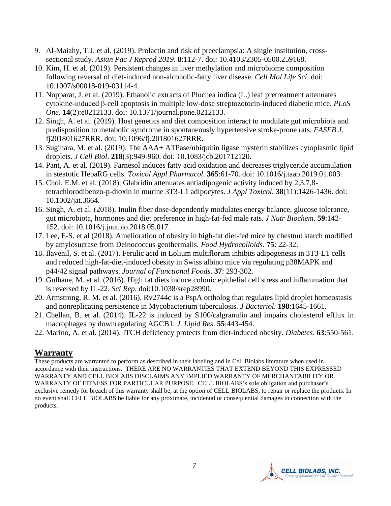- 9. Al-Maiahy, T.J. et al. (2019). Prolactin and risk of preeclampsia: A single institution, crosssectional study. *Asian Pac J Reprod 2019*. **8**:112-7. doi: 10.4103/2305-0500.259168.
- 10. Kim, H. et al. (2019). Persistent changes in liver methylation and microbiome composition following reversal of diet-induced non-alcoholic-fatty liver disease. *Cell Mol Life Sci*. doi: 10.1007/s00018-019-03114-4.
- 11. Nopparat, J. et al. (2019). Ethanolic extracts of Pluchea indica (L.) leaf pretreatment attenuates cytokine-induced β-cell apoptosis in multiple low-dose streptozotocin-induced diabetic mice. *PLoS One*. **14**(2):e0212133. doi: 10.1371/journal.pone.0212133.
- 12. Singh, A. et al. (2019). Host genetics and diet composition interact to modulate gut microbiota and predisposition to metabolic syndrome in spontaneously hypertensive stroke-prone rats. *FASEB J*. fj201801627RRR. doi: 10.1096/fj.201801627RRR.
- 13. Sugihara, M. et al. (2019). The AAA+ ATPase/ubiquitin ligase mysterin stabilizes cytoplasmic lipid droplets. *J Cell Biol*. **218**(3):949-960. doi: 10.1083/jcb.201712120.
- 14. Pant, A. et al. (2019). Farnesol induces fatty acid oxidation and decreases triglyceride accumulation in steatotic HepaRG cells. *Toxicol Appl Pharmacol*. **365**:61-70. doi: 10.1016/j.taap.2019.01.003.
- 15. Choi, E.M. et al. (2018). Glabridin attenuates antiadipogenic activity induced by 2,3,7,8 tetrachlorodibenzo-p-dioxin in murine 3T3-L1 adipocytes. *J Appl Toxicol*. **38**(11):1426-1436. doi: 10.1002/jat.3664.
- 16. Singh, A. et al. (2018). Inulin fiber dose-dependently modulates energy balance, glucose tolerance, gut microbiota, hormones and diet preference in high-fat-fed male rats. *J Nutr Biochem*. **59**:142- 152. doi: 10.1016/j.jnutbio.2018.05.017.
- 17. Lee, E-S. et al (2018). Amelioration of obesity in high-fat diet-fed mice by chestnut starch modified by amylosucrase from Deinococcus geothermalis. *Food Hydrocolloids*. **75**: 22-32.
- 18. Ilavenil, S. et al. (2017). Ferulic acid in Lolium multiflorum inhibits adipogenesis in 3T3-L1 cells and reduced high-fat-diet-induced obesity in Swiss albino mice via regulating p38MAPK and p44/42 signal pathways. *Journal of Functional Foods*. **37**: 293-302.
- 19. Gulhane, M. et al. (2016). High fat diets induce colonic epithelial cell stress and inflammation that is reversed by IL-22. *Sci Rep*. doi:10.1038/srep28990.
- 20. Armstrong, R. M. et al. (2016). Rv2744c is a PspA ortholog that regulates lipid droplet homeostasis and nonreplicating persistence in Mycobacterium tuberculosis. *J Bacteriol.* **198**:1645-1661.
- 21. Chellan, B. et al. (2014). IL-22 is induced by S100/calgranulin and impairs cholesterol efflux in macrophages by downregulating AGCB1. *J. Lipid Res*. **55**:443-454.
- 22. Marino, A. et al. (2014). ITCH deficiency protects from diet-induced obesity. *Diabetes*. **63**:550-561.

## **Warranty**

These products are warranted to perform as described in their labeling and in Cell Biolabs literature when used in accordance with their instructions. THERE ARE NO WARRANTIES THAT EXTEND BEYOND THIS EXPRESSED WARRANTY AND CELL BIOLABS DISCLAIMS ANY IMPLIED WARRANTY OF MERCHANTABILITY OR WARRANTY OF FITNESS FOR PARTICULAR PURPOSE. CELL BIOLABS's sole obligation and purchaser's exclusive remedy for breach of this warranty shall be, at the option of CELL BIOLABS, to repair or replace the products. In no event shall CELL BIOLABS be liable for any proximate, incidental or consequential damages in connection with the products.